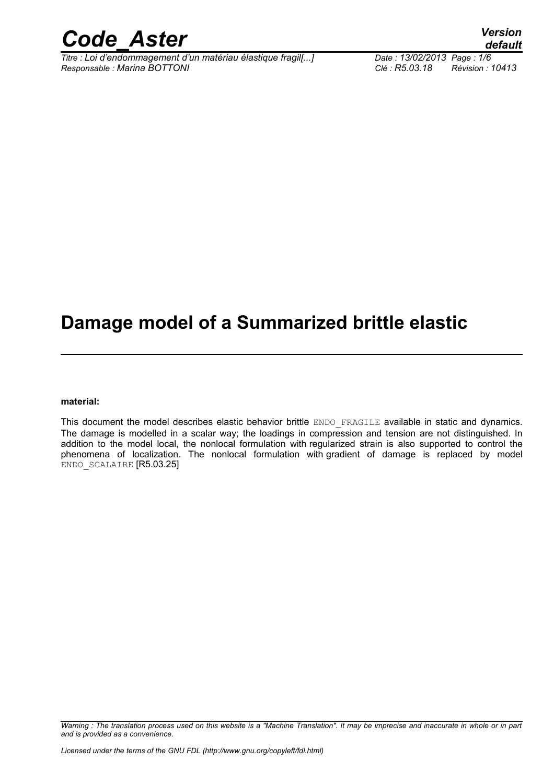

*Titre : Loi d'endommagement d'un matériau élastique fragil[...] Date : 13/02/2013 Page : 1/6 Responsable : Marina BOTTONI Clé : R5.03.18 Révision : 10413*

## **Damage model of a Summarized brittle elastic**

#### **material:**

This document the model describes elastic behavior brittle ENDO\_FRAGILE available in static and dynamics. The damage is modelled in a scalar way; the loadings in compression and tension are not distinguished. In addition to the model local, the nonlocal formulation with regularized strain is also supported to control the phenomena of localization. The nonlocal formulation with gradient of damage is replaced by model ENDO\_SCALAIRE [R5.03.25]

*Warning : The translation process used on this website is a "Machine Translation". It may be imprecise and inaccurate in whole or in part and is provided as a convenience.*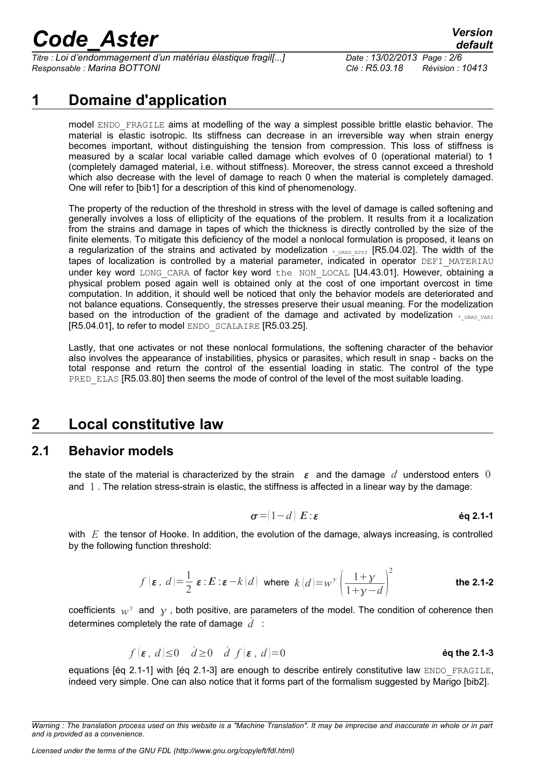*Titre : Loi d'endommagement d'un matériau élastique fragil[...] Date : 13/02/2013 Page : 2/6 Responsable : Marina BOTTONI Clé : R5.03.18 Révision : 10413*

## **1 Domaine d'application**

model ENDO FRAGILE aims at modelling of the way a simplest possible brittle elastic behavior. The material is elastic isotropic. Its stiffness can decrease in an irreversible way when strain energy becomes important, without distinguishing the tension from compression. This loss of stiffness is measured by a scalar local variable called damage which evolves of 0 (operational material) to 1 (completely damaged material, i.e. without stiffness). Moreover, the stress cannot exceed a threshold which also decrease with the level of damage to reach 0 when the material is completely damaged. One will refer to [bib1] for a description of this kind of phenomenology.

The property of the reduction of the threshold in stress with the level of damage is called softening and generally involves a loss of ellipticity of the equations of the problem. It results from it a localization from the strains and damage in tapes of which the thickness is directly controlled by the size of the finite elements. To mitigate this deficiency of the model a nonlocal formulation is proposed, it leans on a regularization of the strains and activated by modelization  $_{*_{\text{GRAD\_EBSI}}}$  [R5.04.02]. The width of the tapes of localization is controlled by a material parameter, indicated in operator DEFI\_MATERIAU under key word LONG CARA of factor key word the NON LOCAL [U4.43.01]. However, obtaining a physical problem posed again well is obtained only at the cost of one important overcost in time computation. In addition, it should well be noticed that only the behavior models are deteriorated and not balance equations. Consequently, the stresses preserve their usual meaning. For the modelization based on the introduction of the gradient of the damage and activated by modelization  $*_{GRAD-VARI}$ [R5.04.01], to refer to model ENDO\_SCALAIRE [R5.03.25].

Lastly, that one activates or not these nonlocal formulations, the softening character of the behavior also involves the appearance of instabilities, physics or parasites, which result in snap - backs on the total response and return the control of the essential loading in static. The control of the type PRED ELAS [R5.03.80] then seems the mode of control of the level of the most suitable loading.

## **2 Local constitutive law**

#### **2.1 Behavior models**

the state of the material is characterized by the strain  $\varepsilon$  and the damage d understood enters 0 and 1 . The relation stress-strain is elastic, the stiffness is affected in a linear way by the damage:

$$
\sigma = (1 - d) \mathbf{E} : \boldsymbol{\varepsilon} \quad \text{Eq 2.1-1}
$$

with *E* the tensor of Hooke. In addition, the evolution of the damage, always increasing, is controlled by the following function threshold:

$$
f(\varepsilon, d) = \frac{1}{2} \varepsilon : E : \varepsilon - k(d) \text{ where } k(d) = w^y \left(\frac{1+y}{1+y-d}\right)^2
$$
 the 2.1-2

coefficients  $w^y$  and  $y$ , both positive, are parameters of the model. The condition of coherence then determines completely the rate of damage *d*˙ :

$$
f(\varepsilon, d) \le 0 \quad d \ge 0 \quad d \ f(\varepsilon, d) = 0
$$
 \t\t\t 6q the 2.1-3

equations [éq 2.1-1] with [éq 2.1-3] are enough to describe entirely constitutive law ENDO\_FRAGILE, indeed very simple. One can also notice that it forms part of the formalism suggested by Marigo [bib2].

*Warning : The translation process used on this website is a "Machine Translation". It may be imprecise and inaccurate in whole or in part and is provided as a convenience.*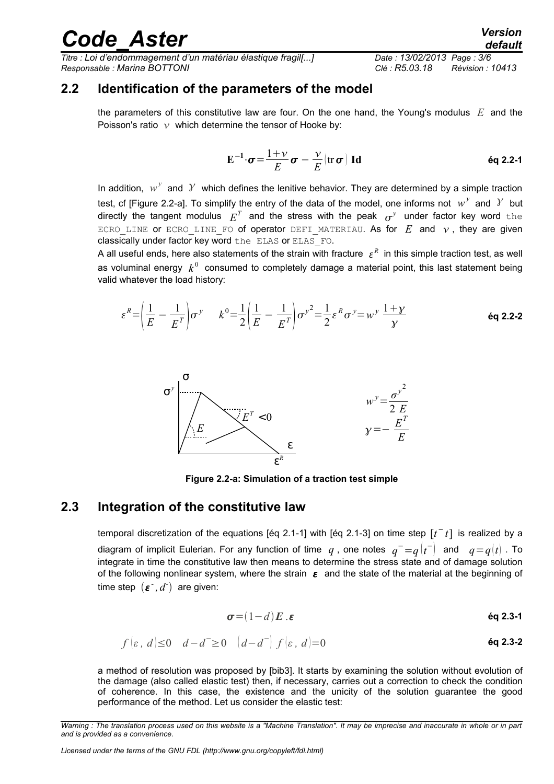*Titre : Loi d'endommagement d'un matériau élastique fragil[...] Date : 13/02/2013 Page : 3/6 Responsable : Marina BOTTONI Clé : R5.03.18 Révision : 10413*

### **2.2 Identification of the parameters of the model**

the parameters of this constitutive law are four. On the one hand, the Young's modulus *E* and the Poisson's ratio  $\nu$  which determine the tensor of Hooke by:

$$
\mathbf{E}^{-1} \cdot \boldsymbol{\sigma} = \frac{1+\nu}{E} \boldsymbol{\sigma} - \frac{\nu}{E} (\text{tr} \, \boldsymbol{\sigma}) \, \mathbf{Id}
$$
éq 2.2-1

In addition,  $w^y$  and  $Y$  which defines the lenitive behavior. They are determined by a simple traction test, cf [Figure 2.2-a]. To simplify the entry of the data of the model, one informs not  $w^y$  and  $\hat{y}$  but directly the tangent modulus  $E^T$  and the stress with the peak  $\sigma^y$  under factor key word  $\tt the$ ECRO LINE or ECRO LINE FO of operator DEFI MATERIAU. As for  $E$  and  $v$ , they are given classically under factor key word the ELAS or ELAS\_FO.

A all useful ends, here also statements of the strain with fracture  $\,\varepsilon^{\cal R}\,$  in this simple traction test, as well as voluminal energy  $\,k^{\,0}\,$  consumed to completely damage a material point, this last statement being valid whatever the load history:

$$
\varepsilon^{R} = \left(\frac{1}{E} - \frac{1}{E^{T}}\right)\sigma^{y} \qquad k^{0} = \frac{1}{2}\left(\frac{1}{E} - \frac{1}{E^{T}}\right)\sigma^{y^{2}} = \frac{1}{2}\varepsilon^{R}\sigma^{y} = w^{y}\frac{1+y}{y}
$$



**Figure 2.2-a: Simulation of a traction test simple**

#### **2.3 Integration of the constitutive law**

temporal discretization of the equations [éq 2.1-1] with [éq 2.1-3] on time step  $[t<sup>-</sup> t]$  is realized by a diagram of implicit Eulerian. For any function of time  $\,q$  , one notes  $\,q^-\!=\!q\!\left(t^-\right)\,$  and  $\,$   $\,q\!=\!q\!\left(t\right)$  . To integrate in time the constitutive law then means to determine the stress state and of damage solution of the following nonlinear system, where the strain  $\varepsilon$  and the state of the material at the beginning of  $time step$   $(\varepsilon^{-}, d^{-})$  are given:

$$
\sigma = (1-d)E \ . \varepsilon \qquad \qquad \text{6q 2.3-1}
$$

$$
f(\varepsilon, d) \le 0
$$
  $d-d^{-} \ge 0$   $(d-d^{-}) f(\varepsilon, d) = 0$  *éq 2.3-2*

a method of resolution was proposed by [bib3]. It starts by examining the solution without evolution of the damage (also called elastic test) then, if necessary, carries out a correction to check the condition of coherence. In this case, the existence and the unicity of the solution guarantee the good performance of the method. Let us consider the elastic test:

*Licensed under the terms of the GNU FDL (http://www.gnu.org/copyleft/fdl.html)*

*Warning : The translation process used on this website is a "Machine Translation". It may be imprecise and inaccurate in whole or in part and is provided as a convenience.*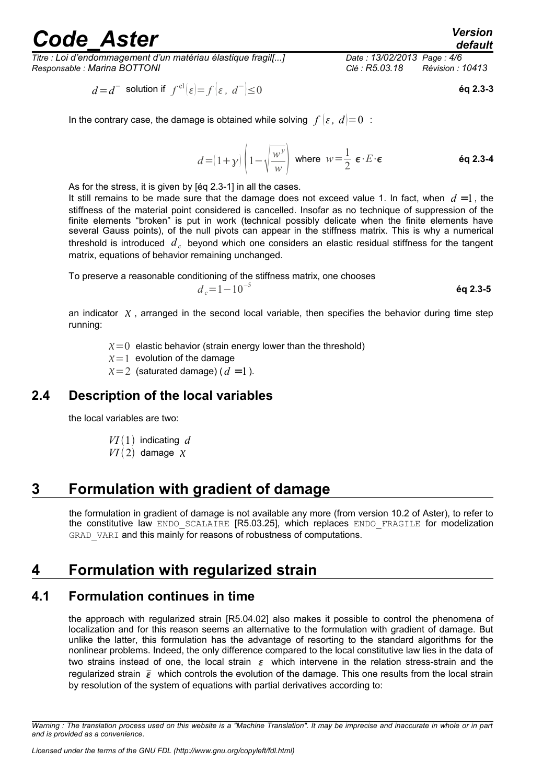*Titre : Loi d'endommagement d'un matériau élastique fragil[...] Date : 13/02/2013 Page : 4/6 Responsable : Marina BOTTONI Clé : R5.03.18 Révision : 10413*

$$
d = d^{-} \text{ solution if } f^{\text{el}}(\varepsilon) = f(\varepsilon, d^{-}) \le 0 \tag{6q 2.3-3}
$$

In the contrary case, the damage is obtained while solving  $f(\varepsilon, d)=0$ :

$$
d = (1 + \gamma) \left( 1 - \sqrt{\frac{w^{\gamma}}{w}} \right) \text{ where } w = \frac{1}{2} \epsilon \cdot E \cdot \epsilon
$$

As for the stress, it is given by [éq 2.3-1] in all the cases.

It still remains to be made sure that the damage does not exceed value 1. In fact, when  $d = 1$ , the stiffness of the material point considered is cancelled. Insofar as no technique of suppression of the finite elements "broken" is put in work (technical possibly delicate when the finite elements have several Gauss points), of the null pivots can appear in the stiffness matrix. This is why a numerical threshold is introduced  $d_c$  beyond which one considers an elastic residual stiffness for the tangent matrix, equations of behavior remaining unchanged.

To preserve a reasonable conditioning of the stiffness matrix, one chooses  $d_c = 1 - 10^{-5}$ 

**éq 2.3-5**

an indicator  $X$ , arranged in the second local variable, then specifies the behavior during time step running:

 $\chi=0$  elastic behavior (strain energy lower than the threshold)

 $x=1$  evolution of the damage

 $x=2$  (saturated damage) ( $d=1$ ).

### **2.4 Description of the local variables**

the local variables are two:

- $VI(1)$  indicating d
- $VI(2)$  damage  $X$

## **3 Formulation with gradient of damage**

the formulation in gradient of damage is not available any more (from version 10.2 of Aster), to refer to the constitutive law ENDO SCALAIRE [R5.03.25], which replaces ENDO FRAGILE for modelization GRAD VARI and this mainly for reasons of robustness of computations.

## **4 Formulation with regularized strain**

### **4.1 Formulation continues in time**

the approach with regularized strain [R5.04.02] also makes it possible to control the phenomena of localization and for this reason seems an alternative to the formulation with gradient of damage. But unlike the latter, this formulation has the advantage of resorting to the standard algorithms for the nonlinear problems. Indeed, the only difference compared to the local constitutive law lies in the data of two strains instead of one, the local strain  $\varepsilon$  which intervene in the relation stress-strain and the regularized strain  $\bar{\epsilon}$  which controls the evolution of the damage. This one results from the local strain by resolution of the system of equations with partial derivatives according to:

*Warning : The translation process used on this website is a "Machine Translation". It may be imprecise and inaccurate in whole or in part and is provided as a convenience.*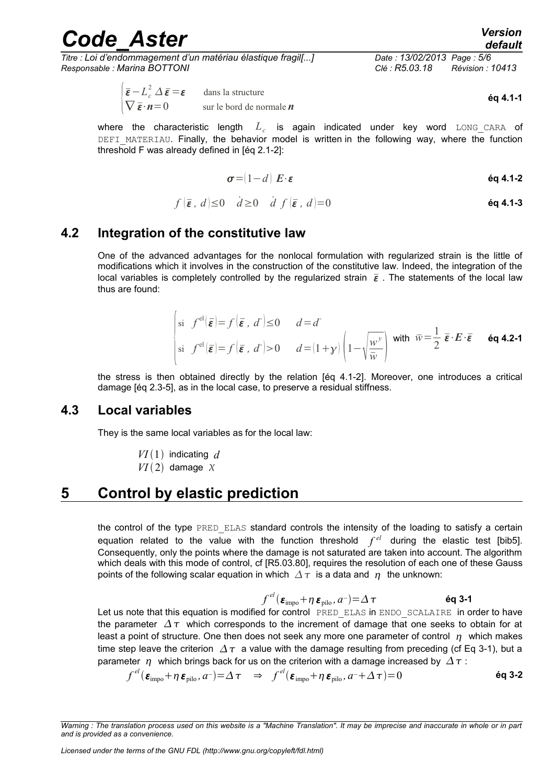*Titre : Loi d'endommagement d'un matériau élastique fragil[...] Date : 13/02/2013 Page : 5/6 Responsable : Marina BOTTONI Clé : R5.03.18 Révision : 10413*

$$
\begin{cases} \overline{\boldsymbol{\varepsilon}} - L_c^2 \Delta \overline{\boldsymbol{\varepsilon}} = \boldsymbol{\varepsilon} & \text{ dans la structure} \\ \nabla \overline{\boldsymbol{\varepsilon}} \cdot \boldsymbol{n} = 0 & \text{ sur le bord de normale } \boldsymbol{n} \end{cases}
$$

**éq 4.1-1**

where the characteristic length  $L_c$  is again indicated under key word  $\tt{long\_cara}$  of DEFI\_MATERIAU. Finally, the behavior model is written in the following way, where the function threshold F was already defined in [éq 2.1-2]:

$$
\sigma = (1 - d) \mathbf{E} \cdot \boldsymbol{\varepsilon}
$$

$$
f(\bar{\varepsilon}, d) \le 0 \quad d \ge 0 \quad d \ f(\bar{\varepsilon}, d) = 0
$$

### **4.2 Integration of the constitutive law**

One of the advanced advantages for the nonlocal formulation with regularized strain is the little of modifications which it involves in the construction of the constitutive law. Indeed, the integration of the local variables is completely controlled by the regularized strain  $\bar{\varepsilon}$ . The statements of the local law thus are found:

$$
\begin{cases} \n\sin f^{\text{el}}(\bar{\boldsymbol{\varepsilon}}) = f(\bar{\boldsymbol{\varepsilon}}, d^{-}) \leq 0 & d = d^{-} \\
\n\sin f^{\text{el}}(\bar{\boldsymbol{\varepsilon}}) = f(\bar{\boldsymbol{\varepsilon}}, d^{-}) & > 0 & d = (1 + \gamma) \left( 1 - \sqrt{\frac{w^{\gamma}}{\bar{w}}} \right) \n\end{cases} \n\text{ with } \bar{w} = \frac{1}{2} \bar{\boldsymbol{\varepsilon}} \cdot \boldsymbol{E} \cdot \bar{\boldsymbol{\varepsilon}} \qquad \text{Eq 4.2-1}
$$

the stress is then obtained directly by the relation [éq 4.1-2]. Moreover, one introduces a critical damage [éq 2.3-5], as in the local case, to preserve a residual stiffness.

#### **4.3 Local variables**

They is the same local variables as for the local law:

 $VI(1)$  indicating d  $VI(2)$  damage  $X$ 

## **5 Control by elastic prediction**

the control of the type PRED ELAS standard controls the intensity of the loading to satisfy a certain equation related to the value with the function threshold  $f^{el}$  during the elastic test [bib5]. Consequently, only the points where the damage is not saturated are taken into account. The algorithm which deals with this mode of control, cf [R5.03.80], requires the resolution of each one of these Gauss points of the following scalar equation in which  $\Delta \tau$  is a data and  $\eta$  the unknown:

$$
f^{el}(\boldsymbol{\varepsilon}_{\text{impo}} + \eta \, \boldsymbol{\varepsilon}_{\text{pilo}}, a^{-}) = \Delta \, \tau
$$

Let us note that this equation is modified for control PRED ELAS in ENDO SCALAIRE in order to have the parameter  $\Delta \tau$  which corresponds to the increment of damage that one seeks to obtain for at least a point of structure. One then does not seek any more one parameter of control  $\eta$  which makes time step leave the criterion  $\Delta \tau$  a value with the damage resulting from preceding (cf Eq 3-1), but a parameter  $\eta$  which brings back for us on the criterion with a damage increased by  $\Delta \tau$ :

$$
f^{el}(\boldsymbol{\varepsilon}_{\text{impo}} + \eta \, \boldsymbol{\varepsilon}_{\text{pilo}}, a^{-}) = \Delta \, \tau \quad \Rightarrow \quad f^{el}(\boldsymbol{\varepsilon}_{\text{impo}} + \eta \, \boldsymbol{\varepsilon}_{\text{pilo}}, a^{-} + \Delta \, \tau) = 0 \tag{6q 3-2}
$$

*Warning : The translation process used on this website is a "Machine Translation". It may be imprecise and inaccurate in whole or in part and is provided as a convenience.*